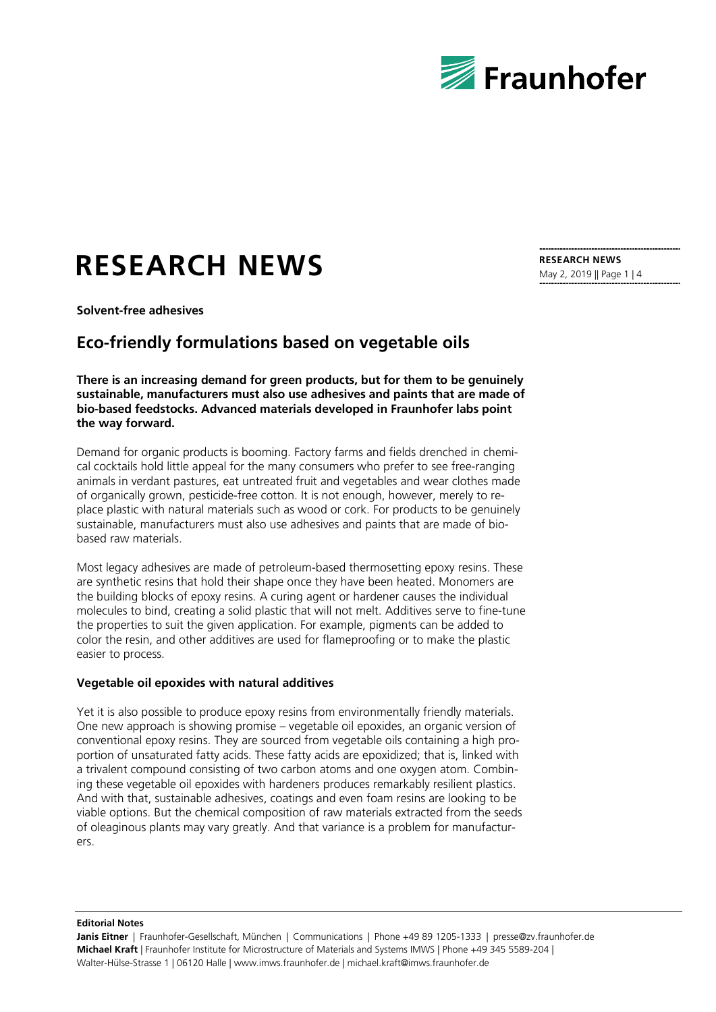

# **RESEARCH NEWS**

**RESEARCH NEWS** May 2, 2019 || Page 1 | 4

**Solvent-free adhesives**

## **Eco-friendly formulations based on vegetable oils**

**There is an increasing demand for green products, but for them to be genuinely sustainable, manufacturers must also use adhesives and paints that are made of bio-based feedstocks. Advanced materials developed in Fraunhofer labs point the way forward.**

Demand for organic products is booming. Factory farms and fields drenched in chemical cocktails hold little appeal for the many consumers who prefer to see free-ranging animals in verdant pastures, eat untreated fruit and vegetables and wear clothes made of organically grown, pesticide-free cotton. It is not enough, however, merely to replace plastic with natural materials such as wood or cork. For products to be genuinely sustainable, manufacturers must also use adhesives and paints that are made of biobased raw materials.

Most legacy adhesives are made of petroleum-based thermosetting epoxy resins. These are synthetic resins that hold their shape once they have been heated. Monomers are the building blocks of epoxy resins. A curing agent or hardener causes the individual molecules to bind, creating a solid plastic that will not melt. Additives serve to fine-tune the properties to suit the given application. For example, pigments can be added to color the resin, and other additives are used for flameproofing or to make the plastic easier to process.

#### **Vegetable oil epoxides with natural additives**

Yet it is also possible to produce epoxy resins from environmentally friendly materials. One new approach is showing promise – vegetable oil epoxides, an organic version of conventional epoxy resins. They are sourced from vegetable oils containing a high proportion of unsaturated fatty acids. These fatty acids are epoxidized; that is, linked with a trivalent compound consisting of two carbon atoms and one oxygen atom. Combining these vegetable oil epoxides with hardeners produces remarkably resilient plastics. And with that, sustainable adhesives, coatings and even foam resins are looking to be viable options. But the chemical composition of raw materials extracted from the seeds of oleaginous plants may vary greatly. And that variance is a problem for manufacturers.

**Editorial Notes**

Janis Eitner | Fraunhofer-Gesellschaft, München | Communications | Phone +49 89 1205-1333 | presse@zv.fraunhofer.de **Michael Kraft** | Fraunhofer Institute for Microstructure of Materials and Systems IMWS | Phone +49 345 5589-204 | Walter-Hülse-Strasse 1 | 06120 Halle | www.imws.fraunhofer.de | michael.kraft@imws.fraunhofer.de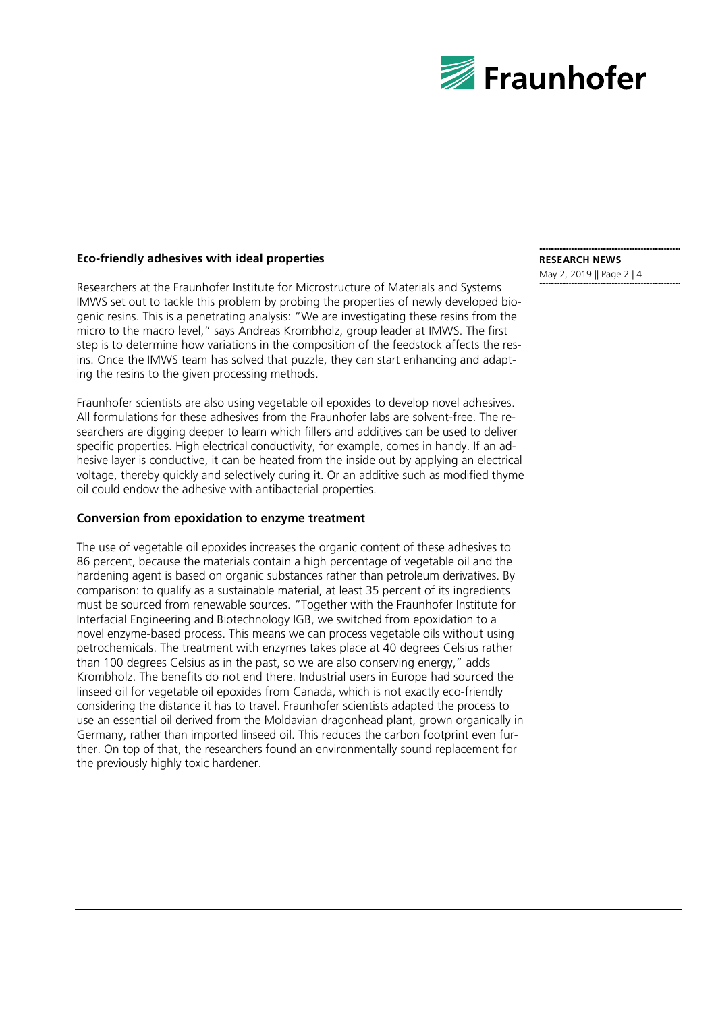

#### **Eco-friendly adhesives with ideal properties**

Researchers at the Fraunhofer Institute for Microstructure of Materials and Systems IMWS set out to tackle this problem by probing the properties of newly developed biogenic resins. This is a penetrating analysis: "We are investigating these resins from the micro to the macro level," says Andreas Krombholz, group leader at IMWS. The first step is to determine how variations in the composition of the feedstock affects the resins. Once the IMWS team has solved that puzzle, they can start enhancing and adapting the resins to the given processing methods.

Fraunhofer scientists are also using vegetable oil epoxides to develop novel adhesives. All formulations for these adhesives from the Fraunhofer labs are solvent-free. The researchers are digging deeper to learn which fillers and additives can be used to deliver specific properties. High electrical conductivity, for example, comes in handy. If an adhesive layer is conductive, it can be heated from the inside out by applying an electrical voltage, thereby quickly and selectively curing it. Or an additive such as modified thyme oil could endow the adhesive with antibacterial properties.

#### **Conversion from epoxidation to enzyme treatment**

The use of vegetable oil epoxides increases the organic content of these adhesives to 86 percent, because the materials contain a high percentage of vegetable oil and the hardening agent is based on organic substances rather than petroleum derivatives. By comparison: to qualify as a sustainable material, at least 35 percent of its ingredients must be sourced from renewable sources. "Together with the Fraunhofer Institute for Interfacial Engineering and Biotechnology IGB, we switched from epoxidation to a novel enzyme-based process. This means we can process vegetable oils without using petrochemicals. The treatment with enzymes takes place at 40 degrees Celsius rather than 100 degrees Celsius as in the past, so we are also conserving energy," adds Krombholz. The benefits do not end there. Industrial users in Europe had sourced the linseed oil for vegetable oil epoxides from Canada, which is not exactly eco-friendly considering the distance it has to travel. Fraunhofer scientists adapted the process to use an essential oil derived from the Moldavian dragonhead plant, grown organically in Germany, rather than imported linseed oil. This reduces the carbon footprint even further. On top of that, the researchers found an environmentally sound replacement for the previously highly toxic hardener.

## **RESEARCH NEWS**

May 2, 2019 || Page 2 | 4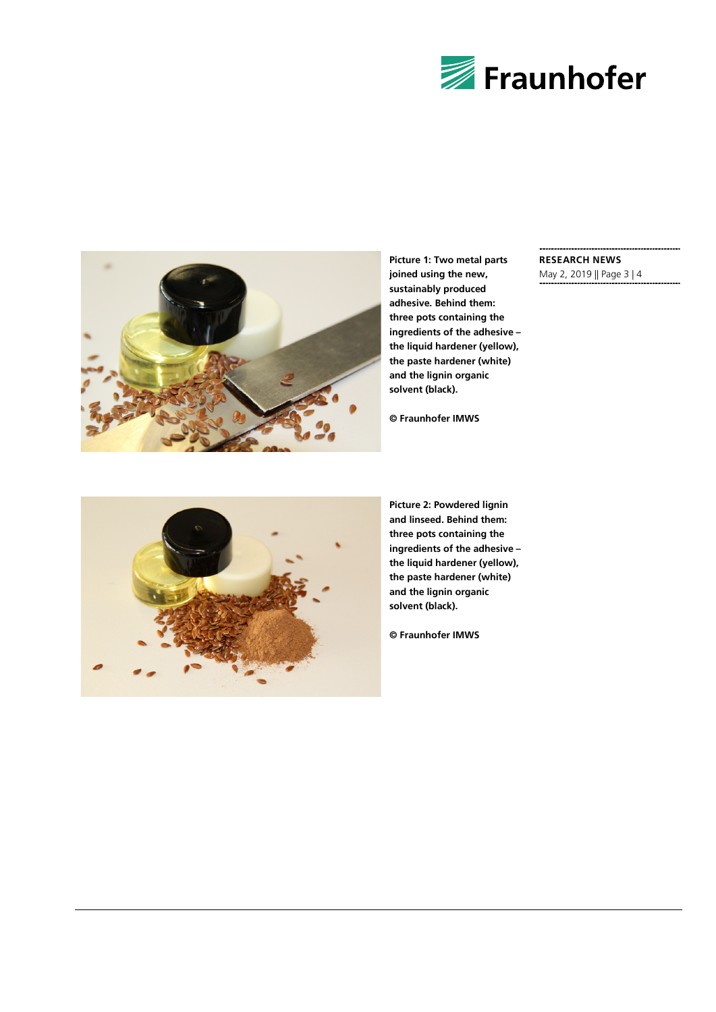



**Picture 1: Two metal parts joined using the new, sustainably produced adhesive. Behind them: three pots containing the ingredients of the adhesive – the liquid hardener (yellow), the paste hardener (white) and the lignin organic solvent (black).**

### **RESEARCH NEWS**

May 2, 2019 || Page 3 | 4



**Picture 2: Powdered lignin and linseed. Behind them: three pots containing the ingredients of the adhesive – the liquid hardener (yellow), the paste hardener (white) and the lignin organic solvent (black).**

**© Fraunhofer IMWS**